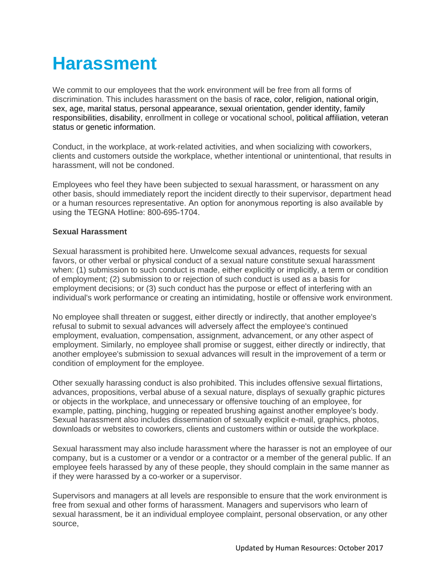## **Harassment**

We commit to our employees that the work environment will be free from all forms of discrimination. This includes harassment on the basis of race, color, religion, national origin, sex, age, marital status, personal appearance, sexual orientation, gender identity, family responsibilities, disability, enrollment in college or vocational school, political affiliation, veteran status or genetic information.

Conduct, in the workplace, at work-related activities, and when socializing with coworkers, clients and customers outside the workplace, whether intentional or unintentional, that results in harassment, will not be condoned.

Employees who feel they have been subjected to sexual harassment, or harassment on any other basis, should immediately report the incident directly to their supervisor, department head or a human resources representative. An option for anonymous reporting is also available by using the TEGNA Hotline: 800-695-1704.

## **Sexual Harassment**

Sexual harassment is prohibited here. Unwelcome sexual advances, requests for sexual favors, or other verbal or physical conduct of a sexual nature constitute sexual harassment when: (1) submission to such conduct is made, either explicitly or implicitly, a term or condition of employment; (2) submission to or rejection of such conduct is used as a basis for employment decisions; or (3) such conduct has the purpose or effect of interfering with an individual's work performance or creating an intimidating, hostile or offensive work environment.

No employee shall threaten or suggest, either directly or indirectly, that another employee's refusal to submit to sexual advances will adversely affect the employee's continued employment, evaluation, compensation, assignment, advancement, or any other aspect of employment. Similarly, no employee shall promise or suggest, either directly or indirectly, that another employee's submission to sexual advances will result in the improvement of a term or condition of employment for the employee.

Other sexually harassing conduct is also prohibited. This includes offensive sexual flirtations, advances, propositions, verbal abuse of a sexual nature, displays of sexually graphic pictures or objects in the workplace, and unnecessary or offensive touching of an employee, for example, patting, pinching, hugging or repeated brushing against another employee's body. Sexual harassment also includes dissemination of sexually explicit e-mail, graphics, photos, downloads or websites to coworkers, clients and customers within or outside the workplace.

Sexual harassment may also include harassment where the harasser is not an employee of our company, but is a customer or a vendor or a contractor or a member of the general public. If an employee feels harassed by any of these people, they should complain in the same manner as if they were harassed by a co-worker or a supervisor.

Supervisors and managers at all levels are responsible to ensure that the work environment is free from sexual and other forms of harassment. Managers and supervisors who learn of sexual harassment, be it an individual employee complaint, personal observation, or any other source,